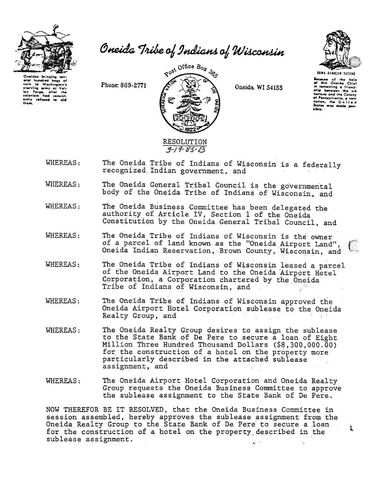

Oneida Tribe of Indians of Wisconsin

oral hundred baas of nunereu was-<br>Io Washington'i<br>Ina army of Valcorn starving army at ley Forge, after the<br>colonists had consistently refused to tham.

Phone: 869-2771



Oneida, WI 54155



reause of the help<br>'this Oneida Chief<br><sub>-</sub>comenting a friendship botween the nations and the Colony nations and the Calony<br>of Ponnsylvania, a new<br>hation, the United was made pas-

I.

- The Oneida Tribe of Indians of Wisconsin is a federally WHEREAS: recognized Indian government, and
- The Oneida General Tribal Council is the governmental WHEREAS: body of the Oneida Tribe of Indians of Wisconsin, and
- WHEREAS: The Oneida Business Committee has been delegated the authority of Article IV, Section 1 of the Oneida Constitution by the Oneida General Tribal Council, and
- WHEREAS: The Oneida Tribe of Indians of Wisconsin is the owner of a parcel of land known as the "Oneida Airport Land", Oneida Indian Reservation, Brown County, Wisconsin, and
- WHEREAS: The Oneida Tribe of Indians of Wisconsin leased a parcel of the Oneida Airport Land to the Oneida Airport Hotel Corporation, a Corporation chartered by the Oneida Tribe of Indians of Wisconsin, and
- WHEREAS: The Oneida Tribe of Indians of Wisconsin approved the Oneida Airport Hotel Corporation sublease to the Oneida Realty Group, and
- The Oneida Realty Group desires to assign the sublease WHEREAS: to the State Bank of De Pere to secure a loan of Eight Million Three Hundred Thousand Dollars (\$8,300,000.00) for the construction of a hotel on the property more particularly described in the attached sublease assignment, and
- WHEREAS: The Oneida Airport Hotel Corporation and Oneida Realty Group requests the Oneida Business Committee to approve the sublease assignment to the State Bank of De Pere.

NOW THEREFOR BE IT RESOLVED, that the Oneida Business Committee in session assembled, hereby approves the sublease assignment from the Oneida Realty Group to the State Bank of De Pere to secure a loan for the construction of a hotel on the property described in the sublease assignment.  $\mathcal{L}^{(n+1)}$